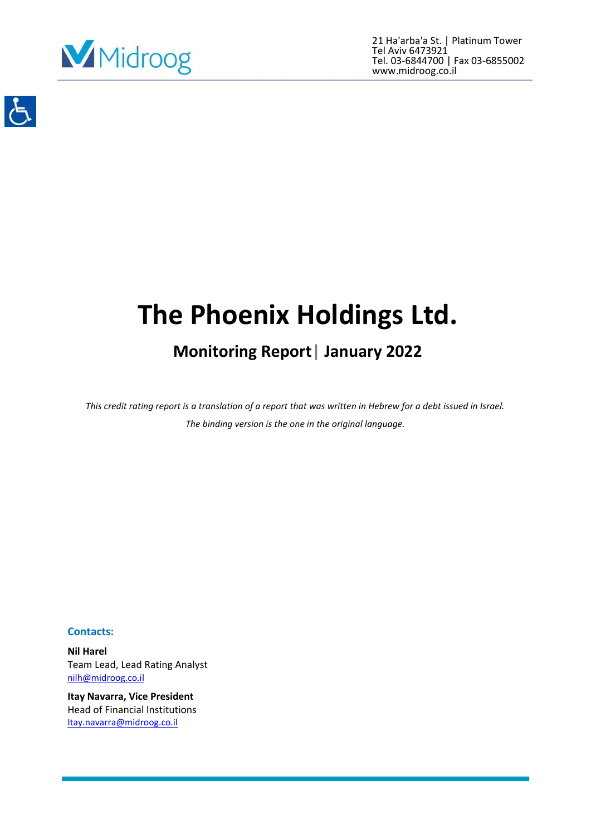

21 Ha'arba'a St. | Platinum Tower Tel Aviv 6473921 Tel. 03-6844700 | Fax 03-6855002 www.midroog.co.il



# **The Phoenix Holdings Ltd.**

# **Monitoring Report| January 2022**

*This credit rating report is a translation of a report that was written in Hebrew for a debt issued in Israel. The binding version is the one in the original language.*

# **Contacts:**

**Nil Harel** Team Lead, Lead Rating Analyst [nilh@midroog.co.il](mailto:nilh@midroog.co.il)

**Itay Navarra, Vice President** Head of Financial Institutions [Itay.navarra@midroog.co.il](mailto:Itay.navarra@midroog.co.il)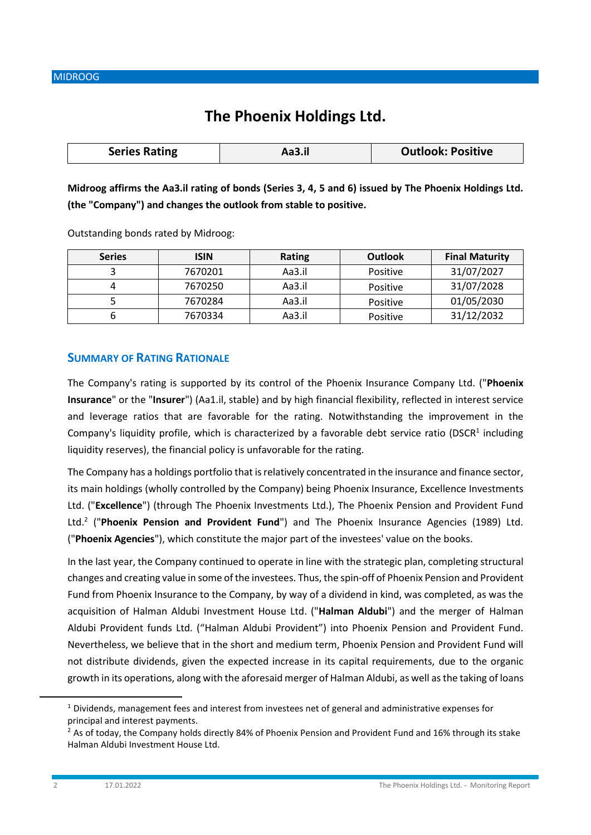# **The Phoenix Holdings Ltd.**

|  | <b>Series Rating</b> | Aa3.il | <b>Outlook: Positive</b> |
|--|----------------------|--------|--------------------------|
|--|----------------------|--------|--------------------------|

**Midroog affirms the Aa3.il rating of bonds (Series 3, 4, 5 and 6) issued by The Phoenix Holdings Ltd. (the "Company") and changes the outlook from stable to positive.** 

Outstanding bonds rated by Midroog:

| <b>Series</b> | <b>ISIN</b> | Rating | <b>Outlook</b> | <b>Final Maturity</b> |
|---------------|-------------|--------|----------------|-----------------------|
|               | 7670201     | Aa3.il | Positive       | 31/07/2027            |
|               | 7670250     | Aa3.il | Positive       | 31/07/2028            |
|               | 7670284     | Aa3.il | Positive       | 01/05/2030            |
|               | 7670334     | Aa3.il | Positive       | 31/12/2032            |

# **SUMMARY OF RATING RATIONALE**

The Company's rating is supported by its control of the Phoenix Insurance Company Ltd. ("**Phoenix Insurance**" or the "**Insurer**") (Aa1.il, stable) and by high financial flexibility, reflected in interest service and leverage ratios that are favorable for the rating. Notwithstanding the improvement in the Company's liquidity profile, which is characterized by a favorable debt service ratio (DSCR<sup>1</sup> including liquidity reserves), the financial policy is unfavorable for the rating.

The Company has a holdings portfolio that is relatively concentrated in the insurance and finance sector, its main holdings (wholly controlled by the Company) being Phoenix Insurance, Excellence Investments Ltd. ("**Excellence**") (through The Phoenix Investments Ltd.), The Phoenix Pension and Provident Fund Ltd.<sup>2</sup> ("Phoenix Pension and Provident Fund") and The Phoenix Insurance Agencies (1989) Ltd. ("**Phoenix Agencies**"), which constitute the major part of the investees' value on the books.

In the last year, the Company continued to operate in line with the strategic plan, completing structural changes and creating value in some of the investees. Thus, the spin-off of Phoenix Pension and Provident Fund from Phoenix Insurance to the Company, by way of a dividend in kind, was completed, as was the acquisition of Halman Aldubi Investment House Ltd. ("**Halman Aldubi**") and the merger of Halman Aldubi Provident funds Ltd. ("Halman Aldubi Provident") into Phoenix Pension and Provident Fund. Nevertheless, we believe that in the short and medium term, Phoenix Pension and Provident Fund will not distribute dividends, given the expected increase in its capital requirements, due to the organic growth in its operations, along with the aforesaid merger of Halman Aldubi, as well as the taking of loans

 $1$  Dividends, management fees and interest from investees net of general and administrative expenses for principal and interest payments.

 $2$  As of today, the Company holds directly 84% of Phoenix Pension and Provident Fund and 16% through its stake Halman Aldubi Investment House Ltd.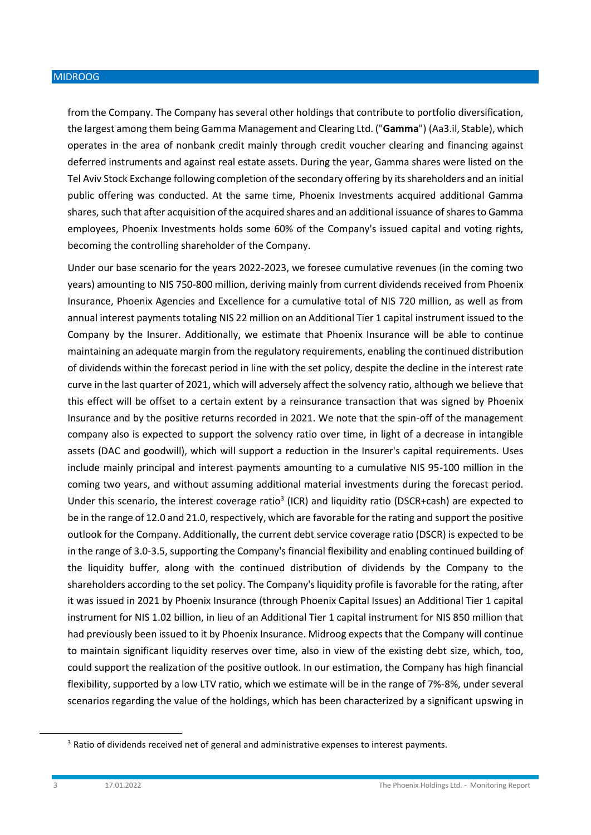from the Company. The Company has several other holdings that contribute to portfolio diversification, the largest among them being Gamma Management and Clearing Ltd. ("**Gamma**") (Aa3.il, Stable), which operates in the area of nonbank credit mainly through credit voucher clearing and financing against deferred instruments and against real estate assets. During the year, Gamma shares were listed on the Tel Aviv Stock Exchange following completion of the secondary offering by its shareholders and an initial public offering was conducted. At the same time, Phoenix Investments acquired additional Gamma shares, such that after acquisition of the acquired shares and an additional issuance of shares to Gamma employees, Phoenix Investments holds some 60% of the Company's issued capital and voting rights, becoming the controlling shareholder of the Company.

Under our base scenario for the years 2022-2023, we foresee cumulative revenues (in the coming two years) amounting to NIS 750-800 million, deriving mainly from current dividends received from Phoenix Insurance, Phoenix Agencies and Excellence for a cumulative total of NIS 720 million, as well as from annual interest payments totaling NIS 22 million on an Additional Tier 1 capital instrument issued to the Company by the Insurer. Additionally, we estimate that Phoenix Insurance will be able to continue maintaining an adequate margin from the regulatory requirements, enabling the continued distribution of dividends within the forecast period in line with the set policy, despite the decline in the interest rate curve in the last quarter of 2021, which will adversely affect the solvency ratio, although we believe that this effect will be offset to a certain extent by a reinsurance transaction that was signed by Phoenix Insurance and by the positive returns recorded in 2021. We note that the spin-off of the management company also is expected to support the solvency ratio over time, in light of a decrease in intangible assets (DAC and goodwill), which will support a reduction in the Insurer's capital requirements. Uses include mainly principal and interest payments amounting to a cumulative NIS 95-100 million in the coming two years, and without assuming additional material investments during the forecast period. Under this scenario, the interest coverage ratio<sup>3</sup> (ICR) and liquidity ratio (DSCR+cash) are expected to be in the range of 12.0 and 21.0, respectively, which are favorable for the rating and support the positive outlook for the Company. Additionally, the current debt service coverage ratio (DSCR) is expected to be in the range of 3.0-3.5, supporting the Company's financial flexibility and enabling continued building of the liquidity buffer, along with the continued distribution of dividends by the Company to the shareholders according to the set policy. The Company's liquidity profile is favorable for the rating, after it was issued in 2021 by Phoenix Insurance (through Phoenix Capital Issues) an Additional Tier 1 capital instrument for NIS 1.02 billion, in lieu of an Additional Tier 1 capital instrument for NIS 850 million that had previously been issued to it by Phoenix Insurance. Midroog expects that the Company will continue to maintain significant liquidity reserves over time, also in view of the existing debt size, which, too, could support the realization of the positive outlook. In our estimation, the Company has high financial flexibility, supported by a low LTV ratio, which we estimate will be in the range of 7%-8%, under several scenarios regarding the value of the holdings, which has been characterized by a significant upswing in

<sup>&</sup>lt;sup>3</sup> Ratio of dividends received net of general and administrative expenses to interest payments.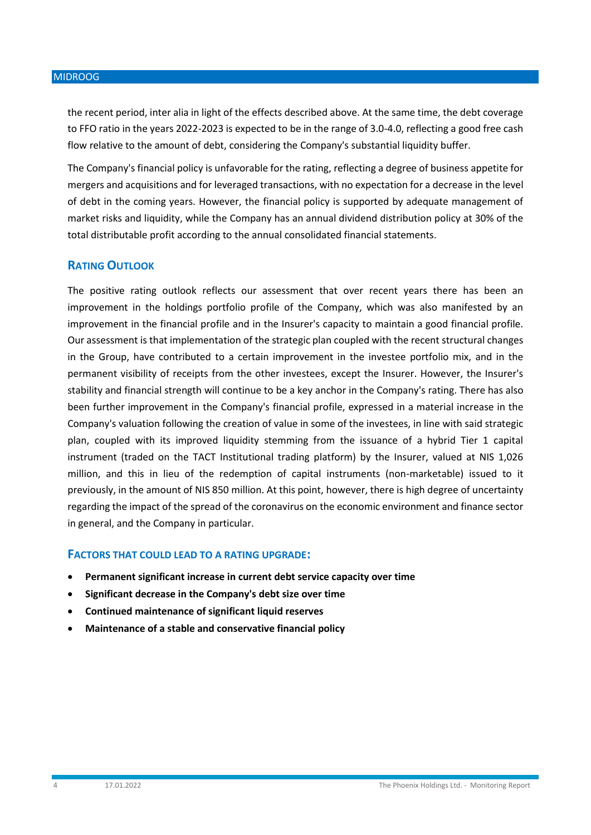the recent period, inter alia in light of the effects described above. At the same time, the debt coverage to FFO ratio in the years 2022-2023 is expected to be in the range of 3.0-4.0, reflecting a good free cash flow relative to the amount of debt, considering the Company's substantial liquidity buffer.

The Company's financial policy is unfavorable for the rating, reflecting a degree of business appetite for mergers and acquisitions and for leveraged transactions, with no expectation for a decrease in the level of debt in the coming years. However, the financial policy is supported by adequate management of market risks and liquidity, while the Company has an annual dividend distribution policy at 30% of the total distributable profit according to the annual consolidated financial statements.

# **RATING OUTLOOK**

The positive rating outlook reflects our assessment that over recent years there has been an improvement in the holdings portfolio profile of the Company, which was also manifested by an improvement in the financial profile and in the Insurer's capacity to maintain a good financial profile. Our assessment is that implementation of the strategic plan coupled with the recent structural changes in the Group, have contributed to a certain improvement in the investee portfolio mix, and in the permanent visibility of receipts from the other investees, except the Insurer. However, the Insurer's stability and financial strength will continue to be a key anchor in the Company's rating. There has also been further improvement in the Company's financial profile, expressed in a material increase in the Company's valuation following the creation of value in some of the investees, in line with said strategic plan, coupled with its improved liquidity stemming from the issuance of a hybrid Tier 1 capital instrument (traded on the TACT Institutional trading platform) by the Insurer, valued at NIS 1,026 million, and this in lieu of the redemption of capital instruments (non-marketable) issued to it previously, in the amount of NIS 850 million. At this point, however, there is high degree of uncertainty regarding the impact of the spread of the coronavirus on the economic environment and finance sector in general, and the Company in particular.

# **FACTORS THAT COULD LEAD TO A RATING UPGRADE:**

- **Permanent significant increase in current debt service capacity over time**
- **Significant decrease in the Company's debt size over time**
- **Continued maintenance of significant liquid reserves**
- **Maintenance of a stable and conservative financial policy**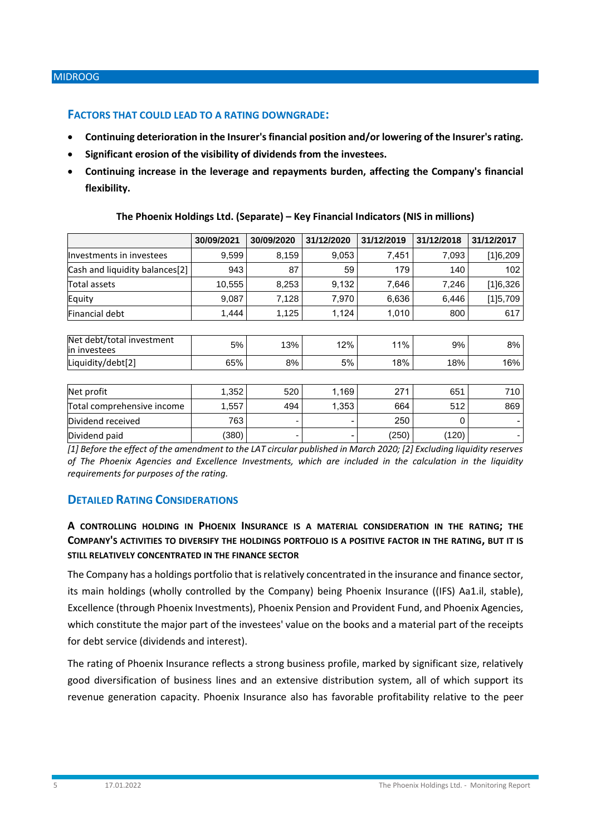# **FACTORS THAT COULD LEAD TO A RATING DOWNGRADE:**

- **Continuing deterioration in the Insurer's financial position and/or lowering of the Insurer's rating.**
- **Significant erosion of the visibility of dividends from the investees.**
- **Continuing increase in the leverage and repayments burden, affecting the Company's financial flexibility.**

|                                           | 30/09/2021 | 30/09/2020 | 31/12/2020 | 31/12/2019 | 31/12/2018 | 31/12/2017 |
|-------------------------------------------|------------|------------|------------|------------|------------|------------|
| Investments in investees                  | 9,599      | 8,159      | 9,053      | 7,451      | 7,093      | [1]6,209   |
| Cash and liquidity balances[2]            | 943        | 87         | 59         | 179        | 140        | 102        |
| Total assets                              | 10,555     | 8,253      | 9,132      | 7,646      | 7,246      | [1]6,326   |
| Equity                                    | 9,087      | 7,128      | 7,970      | 6,636      | 6,446      | [1]5,709   |
| Financial debt                            | 1,444      | 1,125      | 1,124      | 1,010      | 800        | 617        |
|                                           |            |            |            |            |            |            |
| Net debt/total investment<br>in investees | 5%         | 13%        | 12%        | 11%        | 9%         | 8%         |
| Liquidity/debt[2]                         | 65%        | 8%         | 5%         | 18%        | 18%        | 16%        |
|                                           |            |            |            |            |            |            |
| Net profit                                | 1,352      | 520        | 1,169      | 271        | 651        | 710        |
| Total comprehensive income                | 1,557      | 494        | 1,353      | 664        | 512        | 869        |
| Dividend received                         | 763        | ٠          |            | 250        | 0          |            |
| Dividend paid                             | (380)      |            |            | (250)      | (120)      |            |

#### **The Phoenix Holdings Ltd. (Separate) – Key Financial Indicators (NIS in millions)**

*[1] Before the effect of the amendment to the LAT circular published in March 2020; [2] Excluding liquidity reserves of The Phoenix Agencies and Excellence Investments, which are included in the calculation in the liquidity requirements for purposes of the rating.*

# **DETAILED RATING CONSIDERATIONS**

# **A CONTROLLING HOLDING IN PHOENIX INSURANCE IS A MATERIAL CONSIDERATION IN THE RATING; THE COMPANY'S ACTIVITIES TO DIVERSIFY THE HOLDINGS PORTFOLIO IS A POSITIVE FACTOR IN THE RATING, BUT IT IS STILL RELATIVELY CONCENTRATED IN THE FINANCE SECTOR**

The Company has a holdings portfolio that is relatively concentrated in the insurance and finance sector, its main holdings (wholly controlled by the Company) being Phoenix Insurance ((IFS) Aa1.il, stable), Excellence (through Phoenix Investments), Phoenix Pension and Provident Fund, and Phoenix Agencies, which constitute the major part of the investees' value on the books and a material part of the receipts for debt service (dividends and interest).

The rating of Phoenix Insurance reflects a strong business profile, marked by significant size, relatively good diversification of business lines and an extensive distribution system, all of which support its revenue generation capacity. Phoenix Insurance also has favorable profitability relative to the peer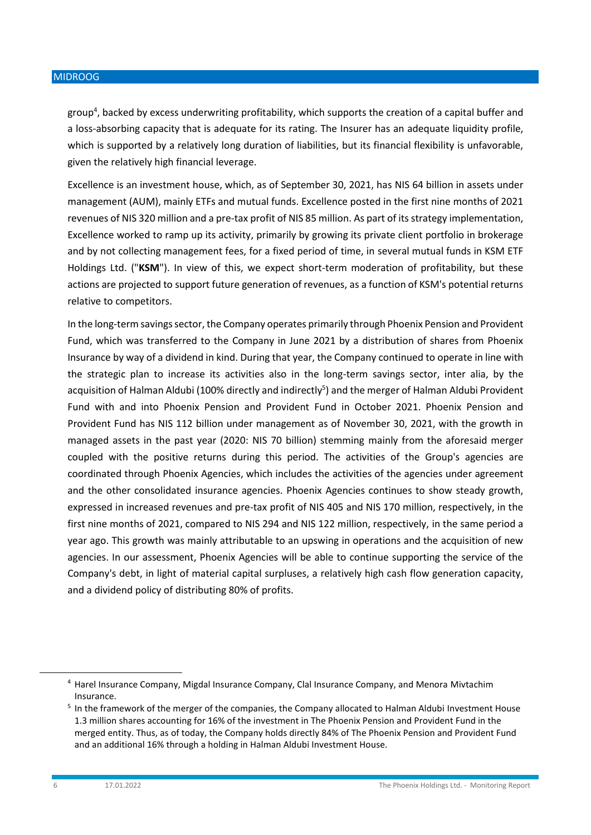group<sup>4</sup>, backed by excess underwriting profitability, which supports the creation of a capital buffer and a loss-absorbing capacity that is adequate for its rating. The Insurer has an adequate liquidity profile, which is supported by a relatively long duration of liabilities, but its financial flexibility is unfavorable, given the relatively high financial leverage.

Excellence is an investment house, which, as of September 30, 2021, has NIS 64 billion in assets under management (AUM), mainly ETFs and mutual funds. Excellence posted in the first nine months of 2021 revenues of NIS 320 million and a pre-tax profit of NIS 85 million. As part of its strategy implementation, Excellence worked to ramp up its activity, primarily by growing its private client portfolio in brokerage and by not collecting management fees, for a fixed period of time, in several mutual funds in KSM ETF Holdings Ltd. ("**KSM**"). In view of this, we expect short-term moderation of profitability, but these actions are projected to support future generation of revenues, as a function of KSM's potential returns relative to competitors.

In the long-term savings sector, the Company operates primarily through Phoenix Pension and Provident Fund, which was transferred to the Company in June 2021 by a distribution of shares from Phoenix Insurance by way of a dividend in kind. During that year, the Company continued to operate in line with the strategic plan to increase its activities also in the long-term savings sector, inter alia, by the acquisition of Halman Aldubi (100% directly and indirectly<sup>5</sup>) and the merger of Halman Aldubi Provident Fund with and into Phoenix Pension and Provident Fund in October 2021. Phoenix Pension and Provident Fund has NIS 112 billion under management as of November 30, 2021, with the growth in managed assets in the past year (2020: NIS 70 billion) stemming mainly from the aforesaid merger coupled with the positive returns during this period. The activities of the Group's agencies are coordinated through Phoenix Agencies, which includes the activities of the agencies under agreement and the other consolidated insurance agencies. Phoenix Agencies continues to show steady growth, expressed in increased revenues and pre-tax profit of NIS 405 and NIS 170 million, respectively, in the first nine months of 2021, compared to NIS 294 and NIS 122 million, respectively, in the same period a year ago. This growth was mainly attributable to an upswing in operations and the acquisition of new agencies. In our assessment, Phoenix Agencies will be able to continue supporting the service of the Company's debt, in light of material capital surpluses, a relatively high cash flow generation capacity, and a dividend policy of distributing 80% of profits.

<sup>4</sup> Harel Insurance Company, Migdal Insurance Company, Clal Insurance Company, and Menora Mivtachim Insurance.

<sup>&</sup>lt;sup>5</sup> In the framework of the merger of the companies, the Company allocated to Halman Aldubi Investment House 1.3 million shares accounting for 16% of the investment in The Phoenix Pension and Provident Fund in the merged entity. Thus, as of today, the Company holds directly 84% of The Phoenix Pension and Provident Fund and an additional 16% through a holding in Halman Aldubi Investment House.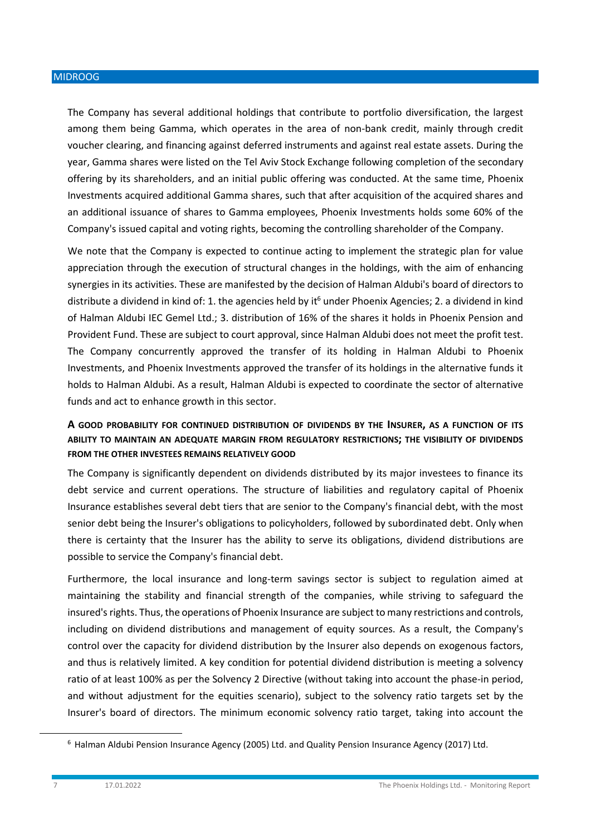The Company has several additional holdings that contribute to portfolio diversification, the largest among them being Gamma, which operates in the area of non-bank credit, mainly through credit voucher clearing, and financing against deferred instruments and against real estate assets. During the year, Gamma shares were listed on the Tel Aviv Stock Exchange following completion of the secondary offering by its shareholders, and an initial public offering was conducted. At the same time, Phoenix Investments acquired additional Gamma shares, such that after acquisition of the acquired shares and an additional issuance of shares to Gamma employees, Phoenix Investments holds some 60% of the Company's issued capital and voting rights, becoming the controlling shareholder of the Company.

We note that the Company is expected to continue acting to implement the strategic plan for value appreciation through the execution of structural changes in the holdings, with the aim of enhancing synergies in its activities. These are manifested by the decision of Halman Aldubi's board of directors to distribute a dividend in kind of: 1. the agencies held by it<sup>6</sup> under Phoenix Agencies; 2. a dividend in kind of Halman Aldubi IEC Gemel Ltd.; 3. distribution of 16% of the shares it holds in Phoenix Pension and Provident Fund. These are subject to court approval, since Halman Aldubi does not meet the profit test. The Company concurrently approved the transfer of its holding in Halman Aldubi to Phoenix Investments, and Phoenix Investments approved the transfer of its holdings in the alternative funds it holds to Halman Aldubi. As a result, Halman Aldubi is expected to coordinate the sector of alternative funds and act to enhance growth in this sector.

# **A GOOD PROBABILITY FOR CONTINUED DISTRIBUTION OF DIVIDENDS BY THE INSURER, AS A FUNCTION OF ITS ABILITY TO MAINTAIN AN ADEQUATE MARGIN FROM REGULATORY RESTRICTIONS; THE VISIBILITY OF DIVIDENDS FROM THE OTHER INVESTEES REMAINS RELATIVELY GOOD**

The Company is significantly dependent on dividends distributed by its major investees to finance its debt service and current operations. The structure of liabilities and regulatory capital of Phoenix Insurance establishes several debt tiers that are senior to the Company's financial debt, with the most senior debt being the Insurer's obligations to policyholders, followed by subordinated debt. Only when there is certainty that the Insurer has the ability to serve its obligations, dividend distributions are possible to service the Company's financial debt.

Furthermore, the local insurance and long-term savings sector is subject to regulation aimed at maintaining the stability and financial strength of the companies, while striving to safeguard the insured's rights. Thus, the operations of Phoenix Insurance are subject to many restrictions and controls, including on dividend distributions and management of equity sources. As a result, the Company's control over the capacity for dividend distribution by the Insurer also depends on exogenous factors, and thus is relatively limited. A key condition for potential dividend distribution is meeting a solvency ratio of at least 100% as per the Solvency 2 Directive (without taking into account the phase-in period, and without adjustment for the equities scenario), subject to the solvency ratio targets set by the Insurer's board of directors. The minimum economic solvency ratio target, taking into account the

<sup>6</sup> Halman Aldubi Pension Insurance Agency (2005) Ltd. and Quality Pension Insurance Agency (2017) Ltd.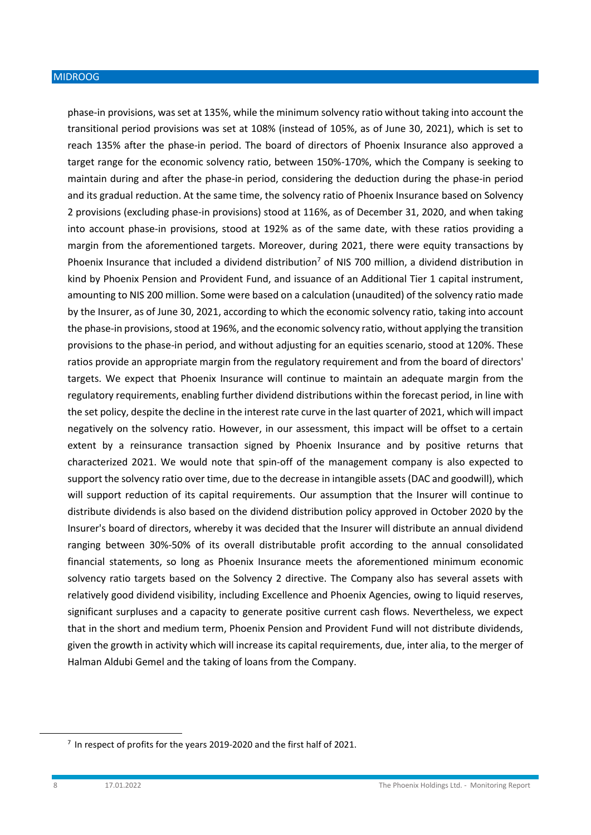phase-in provisions, was set at 135%, while the minimum solvency ratio without taking into account the transitional period provisions was set at 108% (instead of 105%, as of June 30, 2021), which is set to reach 135% after the phase-in period. The board of directors of Phoenix Insurance also approved a target range for the economic solvency ratio, between 150%-170%, which the Company is seeking to maintain during and after the phase-in period, considering the deduction during the phase-in period and its gradual reduction. At the same time, the solvency ratio of Phoenix Insurance based on Solvency 2 provisions (excluding phase-in provisions) stood at 116%, as of December 31, 2020, and when taking into account phase-in provisions, stood at 192% as of the same date, with these ratios providing a margin from the aforementioned targets. Moreover, during 2021, there were equity transactions by Phoenix Insurance that included a dividend distribution<sup>7</sup> of NIS 700 million, a dividend distribution in kind by Phoenix Pension and Provident Fund, and issuance of an Additional Tier 1 capital instrument, amounting to NIS 200 million. Some were based on a calculation (unaudited) of the solvency ratio made by the Insurer, as of June 30, 2021, according to which the economic solvency ratio, taking into account the phase-in provisions, stood at 196%, and the economic solvency ratio, without applying the transition provisions to the phase-in period, and without adjusting for an equities scenario, stood at 120%. These ratios provide an appropriate margin from the regulatory requirement and from the board of directors' targets. We expect that Phoenix Insurance will continue to maintain an adequate margin from the regulatory requirements, enabling further dividend distributions within the forecast period, in line with the set policy, despite the decline in the interest rate curve in the last quarter of 2021, which will impact negatively on the solvency ratio. However, in our assessment, this impact will be offset to a certain extent by a reinsurance transaction signed by Phoenix Insurance and by positive returns that characterized 2021. We would note that spin-off of the management company is also expected to support the solvency ratio over time, due to the decrease in intangible assets (DAC and goodwill), which will support reduction of its capital requirements. Our assumption that the Insurer will continue to distribute dividends is also based on the dividend distribution policy approved in October 2020 by the Insurer's board of directors, whereby it was decided that the Insurer will distribute an annual dividend ranging between 30%-50% of its overall distributable profit according to the annual consolidated financial statements, so long as Phoenix Insurance meets the aforementioned minimum economic solvency ratio targets based on the Solvency 2 directive. The Company also has several assets with relatively good dividend visibility, including Excellence and Phoenix Agencies, owing to liquid reserves, significant surpluses and a capacity to generate positive current cash flows. Nevertheless, we expect that in the short and medium term, Phoenix Pension and Provident Fund will not distribute dividends, given the growth in activity which will increase its capital requirements, due, inter alia, to the merger of Halman Aldubi Gemel and the taking of loans from the Company.

 $^7$  In respect of profits for the years 2019-2020 and the first half of 2021.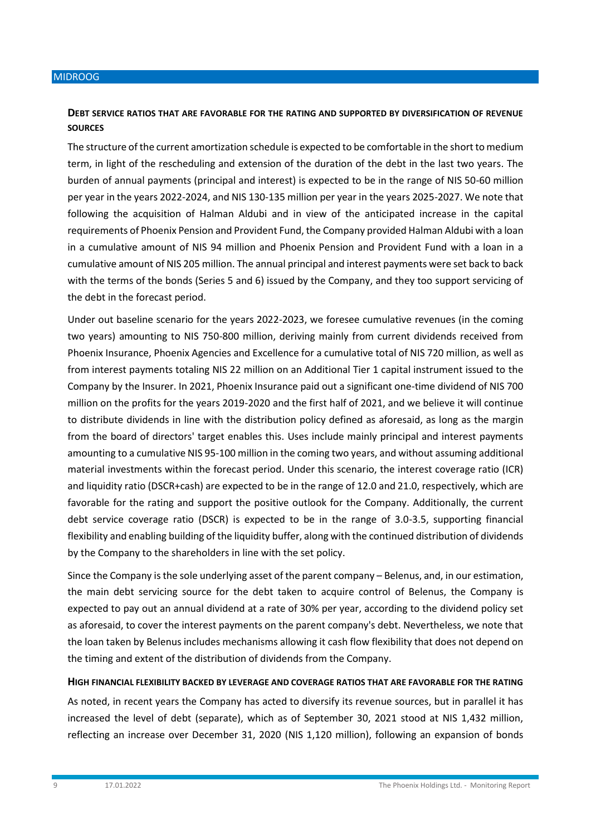# **DEBT SERVICE RATIOS THAT ARE FAVORABLE FOR THE RATING AND SUPPORTED BY DIVERSIFICATION OF REVENUE SOURCES**

The structure of the current amortization schedule is expected to be comfortable in the short to medium term, in light of the rescheduling and extension of the duration of the debt in the last two years. The burden of annual payments (principal and interest) is expected to be in the range of NIS 50-60 million per year in the years 2022-2024, and NIS 130-135 million per year in the years 2025-2027. We note that following the acquisition of Halman Aldubi and in view of the anticipated increase in the capital requirements of Phoenix Pension and Provident Fund, the Company provided Halman Aldubi with a loan in a cumulative amount of NIS 94 million and Phoenix Pension and Provident Fund with a loan in a cumulative amount of NIS 205 million. The annual principal and interest payments were set back to back with the terms of the bonds (Series 5 and 6) issued by the Company, and they too support servicing of the debt in the forecast period.

Under out baseline scenario for the years 2022-2023, we foresee cumulative revenues (in the coming two years) amounting to NIS 750-800 million, deriving mainly from current dividends received from Phoenix Insurance, Phoenix Agencies and Excellence for a cumulative total of NIS 720 million, as well as from interest payments totaling NIS 22 million on an Additional Tier 1 capital instrument issued to the Company by the Insurer. In 2021, Phoenix Insurance paid out a significant one-time dividend of NIS 700 million on the profits for the years 2019-2020 and the first half of 2021, and we believe it will continue to distribute dividends in line with the distribution policy defined as aforesaid, as long as the margin from the board of directors' target enables this. Uses include mainly principal and interest payments amounting to a cumulative NIS 95-100 million in the coming two years, and without assuming additional material investments within the forecast period. Under this scenario, the interest coverage ratio (ICR) and liquidity ratio (DSCR+cash) are expected to be in the range of 12.0 and 21.0, respectively, which are favorable for the rating and support the positive outlook for the Company. Additionally, the current debt service coverage ratio (DSCR) is expected to be in the range of 3.0-3.5, supporting financial flexibility and enabling building of the liquidity buffer, along with the continued distribution of dividends by the Company to the shareholders in line with the set policy.

Since the Company is the sole underlying asset of the parent company – Belenus, and, in our estimation, the main debt servicing source for the debt taken to acquire control of Belenus, the Company is expected to pay out an annual dividend at a rate of 30% per year, according to the dividend policy set as aforesaid, to cover the interest payments on the parent company's debt. Nevertheless, we note that the loan taken by Belenus includes mechanisms allowing it cash flow flexibility that does not depend on the timing and extent of the distribution of dividends from the Company.

#### **HIGH FINANCIAL FLEXIBILITY BACKED BY LEVERAGE AND COVERAGE RATIOS THAT ARE FAVORABLE FOR THE RATING**

As noted, in recent years the Company has acted to diversify its revenue sources, but in parallel it has increased the level of debt (separate), which as of September 30, 2021 stood at NIS 1,432 million, reflecting an increase over December 31, 2020 (NIS 1,120 million), following an expansion of bonds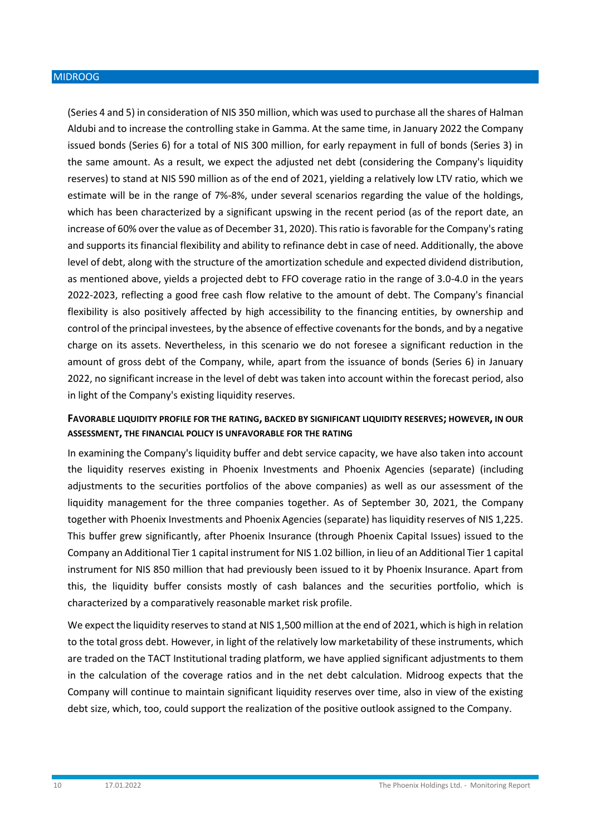(Series 4 and 5) in consideration of NIS 350 million, which was used to purchase all the shares of Halman Aldubi and to increase the controlling stake in Gamma. At the same time, in January 2022 the Company issued bonds (Series 6) for a total of NIS 300 million, for early repayment in full of bonds (Series 3) in the same amount. As a result, we expect the adjusted net debt (considering the Company's liquidity reserves) to stand at NIS 590 million as of the end of 2021, yielding a relatively low LTV ratio, which we estimate will be in the range of 7%-8%, under several scenarios regarding the value of the holdings, which has been characterized by a significant upswing in the recent period (as of the report date, an increase of 60% over the value as of December 31, 2020). This ratio is favorable for the Company's rating and supports its financial flexibility and ability to refinance debt in case of need. Additionally, the above level of debt, along with the structure of the amortization schedule and expected dividend distribution, as mentioned above, yields a projected debt to FFO coverage ratio in the range of 3.0-4.0 in the years 2022-2023, reflecting a good free cash flow relative to the amount of debt. The Company's financial flexibility is also positively affected by high accessibility to the financing entities, by ownership and control of the principal investees, by the absence of effective covenants for the bonds, and by a negative charge on its assets. Nevertheless, in this scenario we do not foresee a significant reduction in the amount of gross debt of the Company, while, apart from the issuance of bonds (Series 6) in January 2022, no significant increase in the level of debt was taken into account within the forecast period, also in light of the Company's existing liquidity reserves.

# **FAVORABLE LIQUIDITY PROFILE FOR THE RATING, BACKED BY SIGNIFICANT LIQUIDITY RESERVES; HOWEVER, IN OUR ASSESSMENT, THE FINANCIAL POLICY IS UNFAVORABLE FOR THE RATING**

In examining the Company's liquidity buffer and debt service capacity, we have also taken into account the liquidity reserves existing in Phoenix Investments and Phoenix Agencies (separate) (including adjustments to the securities portfolios of the above companies) as well as our assessment of the liquidity management for the three companies together. As of September 30, 2021, the Company together with Phoenix Investments and Phoenix Agencies (separate) has liquidity reserves of NIS 1,225. This buffer grew significantly, after Phoenix Insurance (through Phoenix Capital Issues) issued to the Company an Additional Tier 1 capital instrument for NIS 1.02 billion, in lieu of an Additional Tier 1 capital instrument for NIS 850 million that had previously been issued to it by Phoenix Insurance. Apart from this, the liquidity buffer consists mostly of cash balances and the securities portfolio, which is characterized by a comparatively reasonable market risk profile.

We expect the liquidity reserves to stand at NIS 1,500 million at the end of 2021, which is high in relation to the total gross debt. However, in light of the relatively low marketability of these instruments, which are traded on the TACT Institutional trading platform, we have applied significant adjustments to them in the calculation of the coverage ratios and in the net debt calculation. Midroog expects that the Company will continue to maintain significant liquidity reserves over time, also in view of the existing debt size, which, too, could support the realization of the positive outlook assigned to the Company.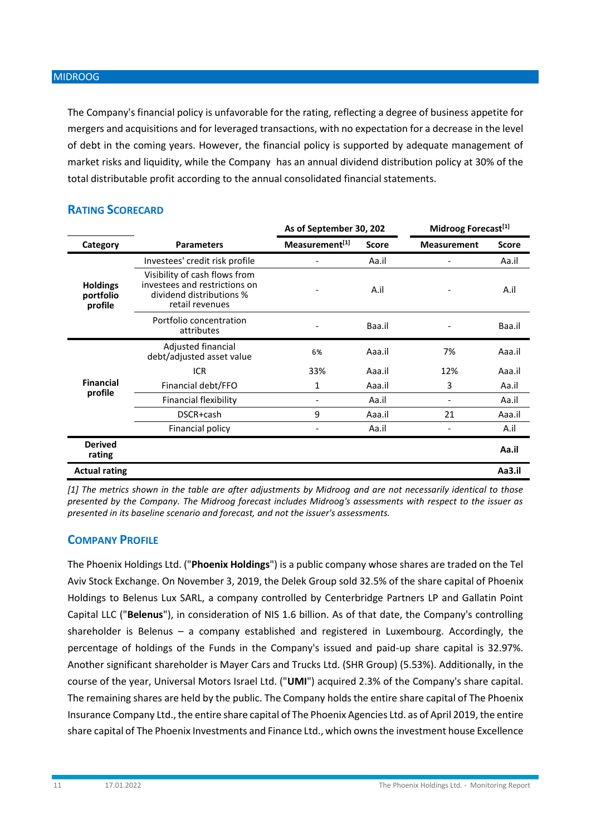The Company's financial policy is unfavorable for the rating, reflecting a degree of business appetite for mergers and acquisitions and for leveraged transactions, with no expectation for a decrease in the level of debt in the coming years. However, the financial policy is supported by adequate management of market risks and liquidity, while the Company has an annual dividend distribution policy at 30% of the total distributable profit according to the annual consolidated financial statements.

|                                         |                                                                                                               | As of September 30, 202 |              | Midroog Forecast <sup>[1]</sup> |              |
|-----------------------------------------|---------------------------------------------------------------------------------------------------------------|-------------------------|--------------|---------------------------------|--------------|
| Category                                | <b>Parameters</b>                                                                                             | Measurement[1]          | <b>Score</b> | <b>Measurement</b>              | <b>Score</b> |
|                                         | Investees' credit risk profile                                                                                |                         | Aa.il        |                                 | Aa.il        |
| <b>Holdings</b><br>portfolio<br>profile | Visibility of cash flows from<br>investees and restrictions on<br>dividend distributions %<br>retail revenues |                         | A.il         |                                 | A.il         |
|                                         | Portfolio concentration<br>attributes                                                                         |                         | Baa.il       |                                 | Baa.il       |
|                                         | Adjusted financial<br>debt/adjusted asset value                                                               | 6%                      | Aaa.il       | 7%                              | Aaa.il       |
|                                         | <b>ICR</b>                                                                                                    | 33%                     | Aaa.il       | 12%                             | Aaa.il       |
| <b>Financial</b>                        | Financial debt/FFO                                                                                            | 1                       | Aaa.il       | 3                               | Aa.il        |
| profile                                 | Financial flexibility                                                                                         |                         | Aa.il        |                                 | Aa.il        |
|                                         | DSCR+cash                                                                                                     | 9                       | Aaa.il       | 21                              | Aaa.il       |
|                                         | Financial policy                                                                                              |                         | Aa.il        |                                 | A.il         |
| <b>Derived</b><br>rating                |                                                                                                               |                         |              |                                 | Aa.il        |
| <b>Actual rating</b>                    |                                                                                                               |                         |              |                                 | Aa3.il       |

# **RATING SCORECARD**

*[1] The metrics shown in the table are after adjustments by Midroog and are not necessarily identical to those presented by the Company. The Midroog forecast includes Midroog's assessments with respect to the issuer as presented in its baseline scenario and forecast, and not the issuer's assessments.*

# **COMPANY PROFILE**

The Phoenix Holdings Ltd. ("**Phoenix Holdings**") is a public company whose shares are traded on the Tel Aviv Stock Exchange. On November 3, 2019, the Delek Group sold 32.5% of the share capital of Phoenix Holdings to Belenus Lux SARL, a company controlled by Centerbridge Partners LP and Gallatin Point Capital LLC ("**Belenus**"), in consideration of NIS 1.6 billion. As of that date, the Company's controlling shareholder is Belenus – a company established and registered in Luxembourg. Accordingly, the percentage of holdings of the Funds in the Company's issued and paid-up share capital is 32.97%. Another significant shareholder is Mayer Cars and Trucks Ltd. (SHR Group) (5.53%). Additionally, in the course of the year, Universal Motors Israel Ltd. ("**UMI**") acquired 2.3% of the Company's share capital. The remaining shares are held by the public. The Company holds the entire share capital of The Phoenix Insurance Company Ltd., the entire share capital of The Phoenix Agencies Ltd. as of April 2019, the entire share capital of The Phoenix Investments and Finance Ltd., which owns the investment house Excellence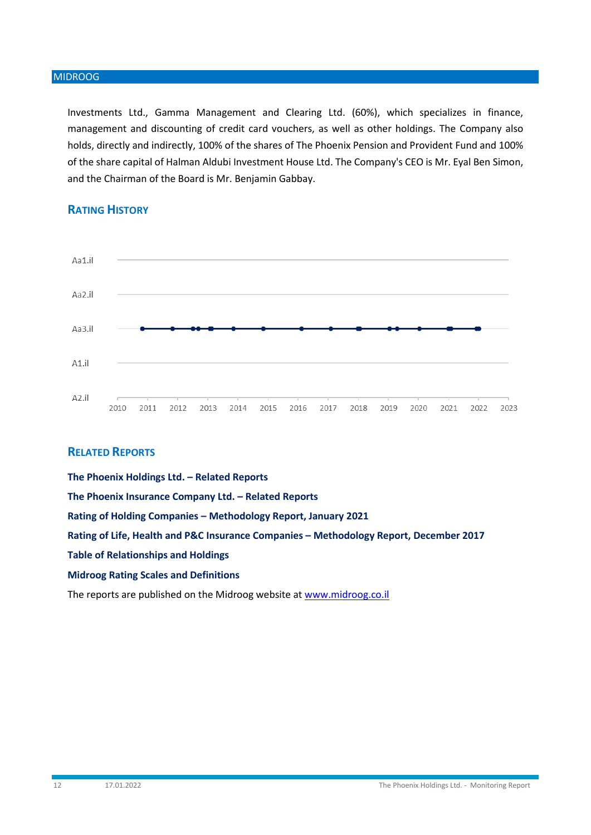Investments Ltd., Gamma Management and Clearing Ltd. (60%), which specializes in finance, management and discounting of credit card vouchers, as well as other holdings. The Company also holds, directly and indirectly, 100% of the shares of The Phoenix Pension and Provident Fund and 100% of the share capital of Halman Aldubi Investment House Ltd. The Company's CEO is Mr. Eyal Ben Simon, and the Chairman of the Board is Mr. Benjamin Gabbay.



# **RATING HISTORY**

# **RELATED REPORTS**

**The Phoenix Holdings Ltd. – Related Reports The Phoenix Insurance Company Ltd. – Related Reports Rating of Holding Companies – Methodology Report, January 2021 Rating of Life, Health and P&C Insurance Companies – Methodology Report, December 2017 Table of Relationships and Holdings [Midroog Rating Scales and Definitions](https://www.midroog.co.il/ArticlePage.aspx?l=1&c=2&id=106)**

The reports are published on the Midroog website at [www.midroog.co.il](http://www.midroog.co.il/)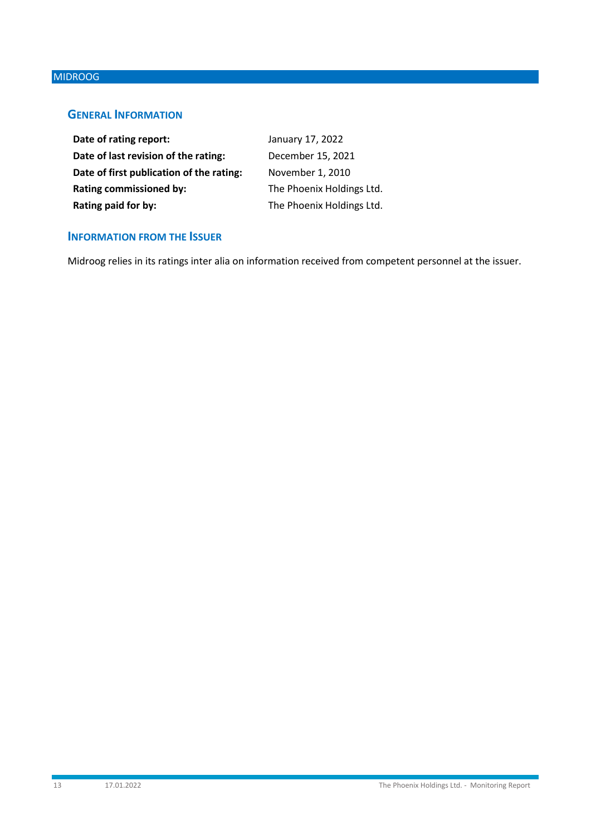# **GENERAL INFORMATION**

| Date of rating report:                   | January 17, 2022          |
|------------------------------------------|---------------------------|
| Date of last revision of the rating:     | December 15, 2021         |
| Date of first publication of the rating: | November 1, 2010          |
| <b>Rating commissioned by:</b>           | The Phoenix Holdings Ltd. |
| Rating paid for by:                      | The Phoenix Holdings Ltd. |

# **INFORMATION FROM THE ISSUER**

Midroog relies in its ratings inter alia on information received from competent personnel at the issuer.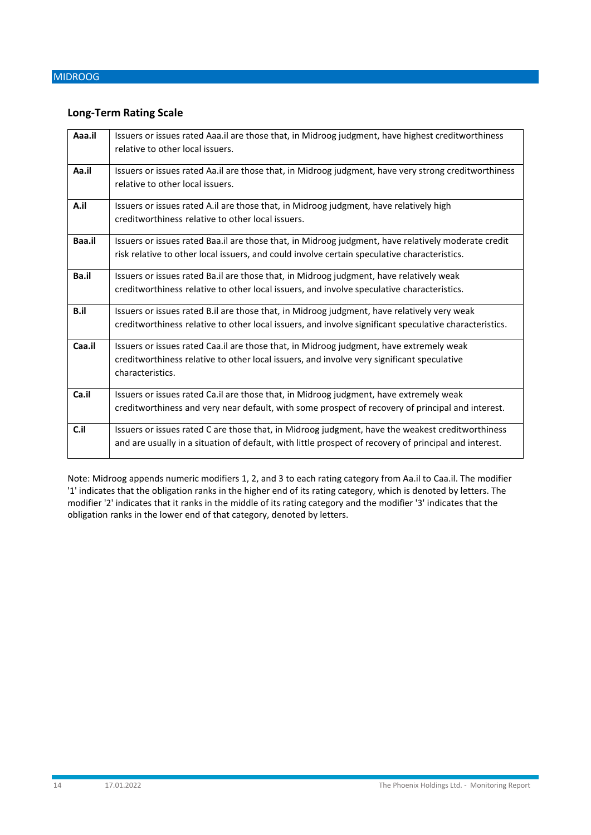### **Long-Term Rating Scale**

| Aaa.il | Issuers or issues rated Aaa.il are those that, in Midroog judgment, have highest creditworthiness<br>relative to other local issuers.                                                                      |
|--------|------------------------------------------------------------------------------------------------------------------------------------------------------------------------------------------------------------|
| Aa.il  | Issuers or issues rated Aa.il are those that, in Midroog judgment, have very strong creditworthiness<br>relative to other local issuers.                                                                   |
| A.il   | Issuers or issues rated A.il are those that, in Midroog judgment, have relatively high<br>creditworthiness relative to other local issuers.                                                                |
| Baa.il | Issuers or issues rated Baa.il are those that, in Midroog judgment, have relatively moderate credit<br>risk relative to other local issuers, and could involve certain speculative characteristics.        |
| Ba.il  | Issuers or issues rated Ba.il are those that, in Midroog judgment, have relatively weak<br>creditworthiness relative to other local issuers, and involve speculative characteristics.                      |
| B.il   | Issuers or issues rated B.il are those that, in Midroog judgment, have relatively very weak<br>creditworthiness relative to other local issuers, and involve significant speculative characteristics.      |
| Caa.il | Issuers or issues rated Caa.il are those that, in Midroog judgment, have extremely weak<br>creditworthiness relative to other local issuers, and involve very significant speculative<br>characteristics.  |
| Ca.il  | Issuers or issues rated Ca.il are those that, in Midroog judgment, have extremely weak<br>creditworthiness and very near default, with some prospect of recovery of principal and interest.                |
| C.il   | Issuers or issues rated C are those that, in Midroog judgment, have the weakest creditworthiness<br>and are usually in a situation of default, with little prospect of recovery of principal and interest. |

Note: Midroog appends numeric modifiers 1, 2, and 3 to each rating category from Aa.il to Caa.il. The modifier '1' indicates that the obligation ranks in the higher end of its rating category, which is denoted by letters. The modifier '2' indicates that it ranks in the middle of its rating category and the modifier '3' indicates that the obligation ranks in the lower end of that category, denoted by letters.